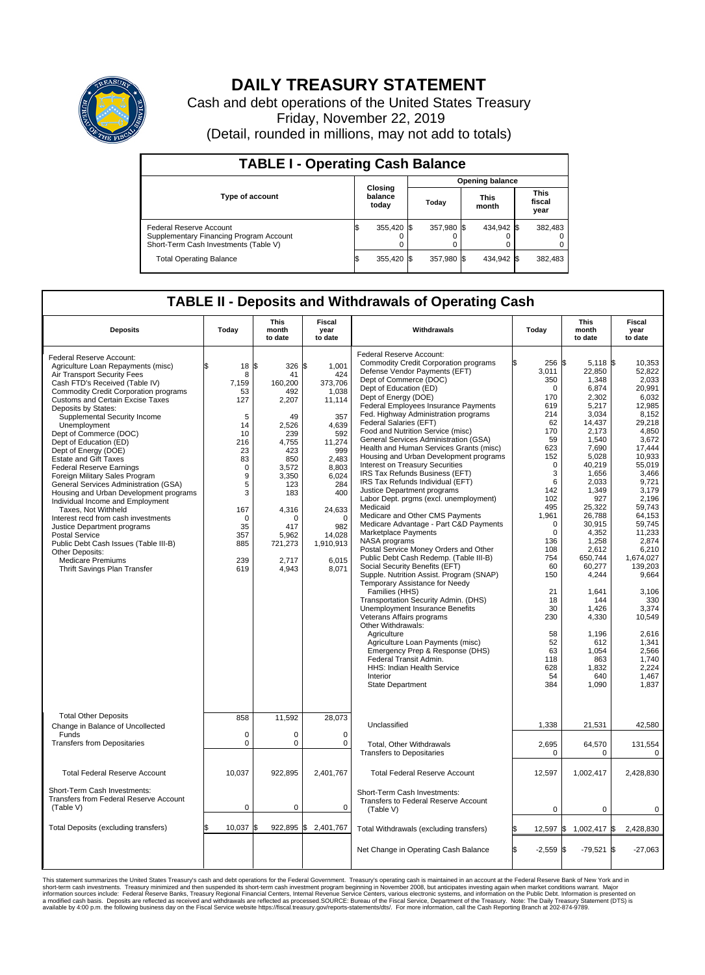

## **DAILY TREASURY STATEMENT**

Cash and debt operations of the United States Treasury Friday, November 22, 2019 (Detail, rounded in millions, may not add to totals)

| <b>TABLE I - Operating Cash Balance</b>                                                                     |                             |            |       |                        |                      |            |                               |         |  |  |  |
|-------------------------------------------------------------------------------------------------------------|-----------------------------|------------|-------|------------------------|----------------------|------------|-------------------------------|---------|--|--|--|
|                                                                                                             | Closing<br>balance<br>today |            |       | <b>Opening balance</b> |                      |            |                               |         |  |  |  |
| <b>Type of account</b>                                                                                      |                             |            | Today |                        | <b>This</b><br>month |            | <b>This</b><br>fiscal<br>year |         |  |  |  |
| Federal Reserve Account<br>Supplementary Financing Program Account<br>Short-Term Cash Investments (Table V) |                             | 355,420 \$ |       | 357.980 \$             |                      | 434.942 \$ |                               | 382,483 |  |  |  |
| <b>Total Operating Balance</b>                                                                              |                             | 355,420 \$ |       | 357,980 \$             |                      | 434,942 \$ |                               | 382,483 |  |  |  |

## **TABLE II - Deposits and Withdrawals of Operating Cash**

| <b>Deposits</b>                                                                                                                                                                                                                                                                                                                                                                                                                                                                                                                                                                                                                                                                                                                                                                                                                                         | Today                                                                                                                                                   | <b>This</b><br>month<br>to date                                                                                                                                                     | <b>Fiscal</b><br>year<br>to date                                                                                                                                                                           | Withdrawals                                                                                                                                                                                                                                                                                                                                                                                                                                                                                                                                                                                                                                                                                                                                                                                                                                                                                                                                                                                                                                                                                                                                                                                                                                                                                                                    | Today                                                                                                                                                                                                                                                                                 | <b>This</b><br>month<br>to date                                                                                                                                                                                                                                                                                                               | <b>Fiscal</b><br>year<br>to date                                                                                                                                                                                                                                                                                                                           |  |
|---------------------------------------------------------------------------------------------------------------------------------------------------------------------------------------------------------------------------------------------------------------------------------------------------------------------------------------------------------------------------------------------------------------------------------------------------------------------------------------------------------------------------------------------------------------------------------------------------------------------------------------------------------------------------------------------------------------------------------------------------------------------------------------------------------------------------------------------------------|---------------------------------------------------------------------------------------------------------------------------------------------------------|-------------------------------------------------------------------------------------------------------------------------------------------------------------------------------------|------------------------------------------------------------------------------------------------------------------------------------------------------------------------------------------------------------|--------------------------------------------------------------------------------------------------------------------------------------------------------------------------------------------------------------------------------------------------------------------------------------------------------------------------------------------------------------------------------------------------------------------------------------------------------------------------------------------------------------------------------------------------------------------------------------------------------------------------------------------------------------------------------------------------------------------------------------------------------------------------------------------------------------------------------------------------------------------------------------------------------------------------------------------------------------------------------------------------------------------------------------------------------------------------------------------------------------------------------------------------------------------------------------------------------------------------------------------------------------------------------------------------------------------------------|---------------------------------------------------------------------------------------------------------------------------------------------------------------------------------------------------------------------------------------------------------------------------------------|-----------------------------------------------------------------------------------------------------------------------------------------------------------------------------------------------------------------------------------------------------------------------------------------------------------------------------------------------|------------------------------------------------------------------------------------------------------------------------------------------------------------------------------------------------------------------------------------------------------------------------------------------------------------------------------------------------------------|--|
| Federal Reserve Account:<br>Agriculture Loan Repayments (misc)<br>Air Transport Security Fees<br>Cash FTD's Received (Table IV)<br><b>Commodity Credit Corporation programs</b><br><b>Customs and Certain Excise Taxes</b><br>Deposits by States:<br>Supplemental Security Income<br>Unemployment<br>Dept of Commerce (DOC)<br>Dept of Education (ED)<br>Dept of Energy (DOE)<br><b>Estate and Gift Taxes</b><br><b>Federal Reserve Earnings</b><br>Foreign Military Sales Program<br>General Services Administration (GSA)<br>Housing and Urban Development programs<br>Individual Income and Employment<br>Taxes, Not Withheld<br>Interest recd from cash investments<br>Justice Department programs<br><b>Postal Service</b><br>Public Debt Cash Issues (Table III-B)<br>Other Deposits:<br><b>Medicare Premiums</b><br>Thrift Savings Plan Transfer | 18<br>8<br>7.159<br>53<br>127<br>5<br>14<br>10<br>216<br>23<br>83<br>$\mathbf 0$<br>9<br>5<br>3<br>167<br>$\mathbf 0$<br>35<br>357<br>885<br>239<br>619 | 1\$<br>326<br>41<br>160.200<br>492<br>2,207<br>49<br>2,526<br>239<br>4.755<br>423<br>850<br>3,572<br>3.350<br>123<br>183<br>4,316<br>0<br>417<br>5.962<br>721,273<br>2.717<br>4,943 | \$<br>1,001<br>424<br>373.706<br>1,038<br>11,114<br>357<br>4,639<br>592<br>11,274<br>999<br>2,483<br>8,803<br>6,024<br>284<br>400<br>24,633<br>$\mathbf 0$<br>982<br>14.028<br>1,910,913<br>6.015<br>8,071 | Federal Reserve Account:<br><b>Commodity Credit Corporation programs</b><br>Defense Vendor Payments (EFT)<br>Dept of Commerce (DOC)<br>Dept of Education (ED)<br>Dept of Energy (DOE)<br>Federal Employees Insurance Payments<br>Fed. Highway Administration programs<br>Federal Salaries (EFT)<br>Food and Nutrition Service (misc)<br>General Services Administration (GSA)<br>Health and Human Services Grants (misc)<br>Housing and Urban Development programs<br><b>Interest on Treasury Securities</b><br>IRS Tax Refunds Business (EFT)<br>IRS Tax Refunds Individual (EFT)<br>Justice Department programs<br>Labor Dept. prgms (excl. unemployment)<br>Medicaid<br>Medicare and Other CMS Payments<br>Medicare Advantage - Part C&D Payments<br>Marketplace Payments<br>NASA programs<br>Postal Service Money Orders and Other<br>Public Debt Cash Redemp. (Table III-B)<br>Social Security Benefits (EFT)<br>Supple. Nutrition Assist. Program (SNAP)<br>Temporary Assistance for Needy<br>Families (HHS)<br>Transportation Security Admin. (DHS)<br>Unemployment Insurance Benefits<br>Veterans Affairs programs<br>Other Withdrawals:<br>Agriculture<br>Agriculture Loan Payments (misc)<br>Emergency Prep & Response (DHS)<br>Federal Transit Admin.<br>HHS: Indian Health Service<br>Interior<br>State Department | 256 \$<br>3,011<br>350<br>$\mathbf 0$<br>170<br>619<br>214<br>62<br>170<br>59<br>623<br>152<br>$\mathbf 0$<br>3<br>6<br>142<br>102<br>495<br>1,961<br>$\mathbf 0$<br>$\Omega$<br>136<br>108<br>754<br>60<br>150<br>21<br>18<br>30<br>230<br>58<br>52<br>63<br>118<br>628<br>54<br>384 | $5,118$ \$<br>22,850<br>1,348<br>6,874<br>2,302<br>5,217<br>3,034<br>14,437<br>2,173<br>1,540<br>7.690<br>5,028<br>40,219<br>1,656<br>2.033<br>1,349<br>927<br>25,322<br>26,788<br>30,915<br>4,352<br>1,258<br>2,612<br>650,744<br>60,277<br>4,244<br>1,641<br>144<br>1,426<br>4,330<br>1,196<br>612<br>1,054<br>863<br>1,832<br>640<br>1,090 | 10,353<br>52,822<br>2,033<br>20,991<br>6.032<br>12,985<br>8,152<br>29,218<br>4,850<br>3,672<br>17.444<br>10,933<br>55.019<br>3,466<br>9,721<br>3,179<br>2.196<br>59,743<br>64,153<br>59,745<br>11,233<br>2,874<br>6,210<br>1,674,027<br>139,203<br>9,664<br>3,106<br>330<br>3,374<br>10,549<br>2,616<br>1,341<br>2,566<br>1.740<br>2,224<br>1,467<br>1,837 |  |
| <b>Total Other Deposits</b><br>Change in Balance of Uncollected                                                                                                                                                                                                                                                                                                                                                                                                                                                                                                                                                                                                                                                                                                                                                                                         | 858                                                                                                                                                     | 11,592                                                                                                                                                                              | 28,073                                                                                                                                                                                                     | Unclassified                                                                                                                                                                                                                                                                                                                                                                                                                                                                                                                                                                                                                                                                                                                                                                                                                                                                                                                                                                                                                                                                                                                                                                                                                                                                                                                   | 1,338                                                                                                                                                                                                                                                                                 | 21,531                                                                                                                                                                                                                                                                                                                                        | 42,580                                                                                                                                                                                                                                                                                                                                                     |  |
| Funds<br><b>Transfers from Depositaries</b>                                                                                                                                                                                                                                                                                                                                                                                                                                                                                                                                                                                                                                                                                                                                                                                                             | $\mathbf 0$<br>$\mathbf 0$                                                                                                                              | 0<br>0                                                                                                                                                                              | $\mathbf 0$<br>$\mathbf 0$                                                                                                                                                                                 | Total, Other Withdrawals<br><b>Transfers to Depositaries</b>                                                                                                                                                                                                                                                                                                                                                                                                                                                                                                                                                                                                                                                                                                                                                                                                                                                                                                                                                                                                                                                                                                                                                                                                                                                                   | 2,695<br>$\mathbf 0$                                                                                                                                                                                                                                                                  | 64,570<br>0                                                                                                                                                                                                                                                                                                                                   | 131,554<br>0                                                                                                                                                                                                                                                                                                                                               |  |
| <b>Total Federal Reserve Account</b>                                                                                                                                                                                                                                                                                                                                                                                                                                                                                                                                                                                                                                                                                                                                                                                                                    | 10,037                                                                                                                                                  | 922,895                                                                                                                                                                             | 2,401,767                                                                                                                                                                                                  | <b>Total Federal Reserve Account</b>                                                                                                                                                                                                                                                                                                                                                                                                                                                                                                                                                                                                                                                                                                                                                                                                                                                                                                                                                                                                                                                                                                                                                                                                                                                                                           | 12,597                                                                                                                                                                                                                                                                                | 1,002,417                                                                                                                                                                                                                                                                                                                                     | 2,428,830                                                                                                                                                                                                                                                                                                                                                  |  |
| Short-Term Cash Investments:<br>Transfers from Federal Reserve Account<br>(Table V)                                                                                                                                                                                                                                                                                                                                                                                                                                                                                                                                                                                                                                                                                                                                                                     | $\mathbf 0$                                                                                                                                             | 0                                                                                                                                                                                   | $\mathbf 0$                                                                                                                                                                                                | Short-Term Cash Investments:<br>Transfers to Federal Reserve Account<br>(Table V)                                                                                                                                                                                                                                                                                                                                                                                                                                                                                                                                                                                                                                                                                                                                                                                                                                                                                                                                                                                                                                                                                                                                                                                                                                              | $\mathbf 0$                                                                                                                                                                                                                                                                           | $\mathbf 0$                                                                                                                                                                                                                                                                                                                                   | $\mathbf 0$                                                                                                                                                                                                                                                                                                                                                |  |
| Total Deposits (excluding transfers)                                                                                                                                                                                                                                                                                                                                                                                                                                                                                                                                                                                                                                                                                                                                                                                                                    | 10,037                                                                                                                                                  | 922,895 \$<br>\$                                                                                                                                                                    | 2,401,767                                                                                                                                                                                                  | Total Withdrawals (excluding transfers)                                                                                                                                                                                                                                                                                                                                                                                                                                                                                                                                                                                                                                                                                                                                                                                                                                                                                                                                                                                                                                                                                                                                                                                                                                                                                        | 12,597                                                                                                                                                                                                                                                                                | 1,002,417 \$                                                                                                                                                                                                                                                                                                                                  | 2,428,830                                                                                                                                                                                                                                                                                                                                                  |  |
|                                                                                                                                                                                                                                                                                                                                                                                                                                                                                                                                                                                                                                                                                                                                                                                                                                                         |                                                                                                                                                         |                                                                                                                                                                                     |                                                                                                                                                                                                            | Net Change in Operating Cash Balance                                                                                                                                                                                                                                                                                                                                                                                                                                                                                                                                                                                                                                                                                                                                                                                                                                                                                                                                                                                                                                                                                                                                                                                                                                                                                           | Ŝ.<br>$-2.559$ \$                                                                                                                                                                                                                                                                     | $-79,521$ \$                                                                                                                                                                                                                                                                                                                                  | $-27,063$                                                                                                                                                                                                                                                                                                                                                  |  |

This statement summarizes the United States Treasury's cash and debt operations for the Federal Government. Treasury operating in November 2008, but anticingates investing again when market conditions warrant. Major York a